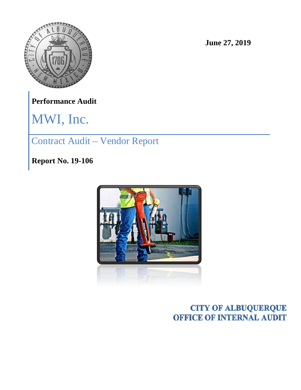

**June 27, 2019**

**Performance Audit**

MWI, Inc.

Contract Audit – Vendor Report

**Report No. 19-106**



**CITY OF ALBUQUERQUE OFFICE OF INTERNAL AUDIT**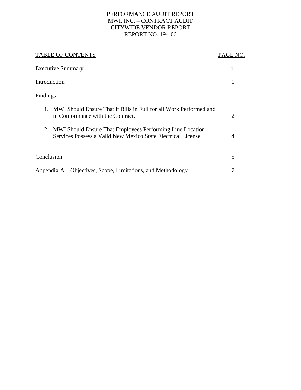#### PERFORMANCE AUDIT REPORT MWI, INC. – CONTRACT AUDIT CITYWIDE VENDOR REPORT REPORT NO. 19-106

| <b>TABLE OF CONTENTS</b>                                                                                                      | PAGE NO.       |
|-------------------------------------------------------------------------------------------------------------------------------|----------------|
| <b>Executive Summary</b>                                                                                                      | 1              |
| Introduction                                                                                                                  |                |
| Findings:                                                                                                                     |                |
| MWI Should Ensure That it Bills in Full for all Work Performed and<br>$1_{-}$<br>in Conformance with the Contract.            | 2              |
| 2. MWI Should Ensure That Employees Performing Line Location<br>Services Possess a Valid New Mexico State Electrical License. | $\overline{A}$ |
| Conclusion                                                                                                                    | 5              |
| Appendix A – Objectives, Scope, Limitations, and Methodology                                                                  | 7              |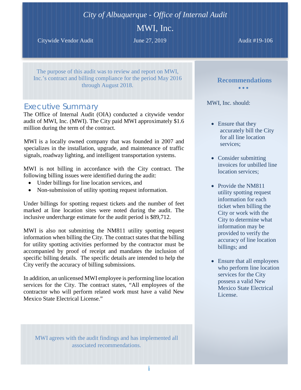# *City of Albuquerque - Office of Internal Audit*

### MWI, Inc.

Citywide Vendor Audit **June 27, 2019** Audit #19-106

The purpose of this audit was to review and report on MWI, Inc.'s contract and billing compliance for the period May 2016 through August 2018.

### *Executive Summary*

The Office of Internal Audit (OIA) conducted a citywide vendor audit of MWI, Inc. (MWI). The City paid MWI approximately \$1.6 million during the term of the contract.

MWI is a locally owned company that was founded in 2007 and specializes in the installation, upgrade, and maintenance of traffic signals, roadway lighting, and intelligent transportation systems.

MWI is not billing in accordance with the City contract. The following billing issues were identified during the audit:

- Under billings for line location services, and
- Non-submission of utility spotting request information.

Under billings for spotting request tickets and the number of feet marked at line location sites were noted during the audit. The inclusive undercharge estimate for the audit period is \$89,712.

MWI is also not submitting the NM811 utility spotting request information when billing the City. The contract states that the billing for utility spotting activities performed by the contractor must be accompanied by proof of receipt and mandates the inclusion of specific billing details. The specific details are intended to help the City verify the accuracy of billing submissions.

In addition, an unlicensed MWI employee is performing line location services for the City. The contract states, "All employees of the contractor who will perform related work must have a valid New Mexico State Electrical License."

MWI agrees with the audit findings and has implemented all associated recommendations.

**Recommendations** • • •

MWI, Inc. should:

- Ensure that they accurately bill the City for all line location services;
- Consider submitting invoices for unbilled line location services;
- Provide the NM811 utility spotting request information for each ticket when billing the City or work with the City to determine what information may be provided to verify the accuracy of line location billings; and
- Ensure that all employees who perform line location services for the City possess a valid New Mexico State Electrical License.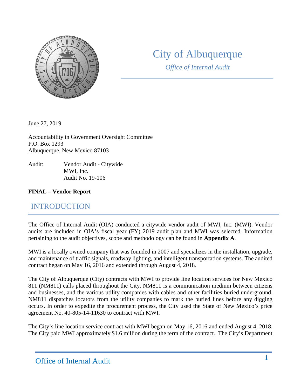

# City of Albuquerque

*Office of Internal Audit*

June 27, 2019

Accountability in Government Oversight Committee P.O. Box 1293 Albuquerque, New Mexico 87103

Audit: Vendor Audit - Citywide MWI, Inc. Audit No. 19-106

#### **FINAL – Vendor Report**

# INTRODUCTION

The Office of Internal Audit (OIA) conducted a citywide vendor audit of MWI, Inc. (MWI). Vendor audits are included in OIA's fiscal year (FY) 2019 audit plan and MWI was selected. Information pertaining to the audit objectives, scope and methodology can be found in **Appendix A**.

MWI is a locally owned company that was founded in 2007 and specializes in the installation, upgrade, and maintenance of traffic signals, roadway lighting, and intelligent transportation systems. The audited contract began on May 16, 2016 and extended through August 4, 2018.

The City of Albuquerque (City) contracts with MWI to provide line location services for New Mexico 811 (NM811) calls placed throughout the City. NM811 is a communication medium between citizens and businesses, and the various utility companies with cables and other facilities buried underground. NM811 dispatches locators from the utility companies to mark the buried lines before any digging occurs. In order to expedite the procurement process, the City used the State of New Mexico's price agreement No. 40-805-14-11630 to contract with MWI.

The City's line location service contract with MWI began on May 16, 2016 and ended August 4, 2018. The City paid MWI approximately \$1.6 million during the term of the contract. The City's Department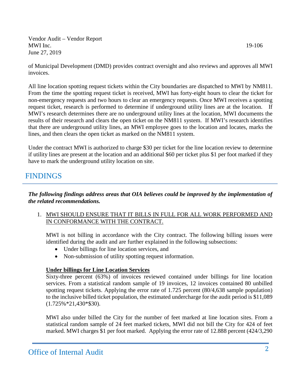of Municipal Development (DMD) provides contract oversight and also reviews and approves all MWI invoices.

All line location spotting request tickets within the City boundaries are dispatched to MWI by NM811. From the time the spotting request ticket is received, MWI has forty-eight hours to clear the ticket for non-emergency requests and two hours to clear an emergency requests. Once MWI receives a spotting request ticket, research is performed to determine if underground utility lines are at the location. If MWI's research determines there are no underground utility lines at the location, MWI documents the results of their research and clears the open ticket on the NM811 system. If MWI's research identifies that there are underground utility lines, an MWI employee goes to the location and locates, marks the lines, and then clears the open ticket as marked on the NM811 system.

Under the contract MWI is authorized to charge \$30 per ticket for the line location review to determine if utility lines are present at the location and an additional \$60 per ticket plus \$1 per foot marked if they have to mark the underground utility location on site.

### FINDINGS

*The following findings address areas that OIA believes could be improved by the implementation of the related recommendations.*

1. MWI SHOULD ENSURE THAT IT BILLS IN FULL FOR ALL WORK PERFORMED AND IN CONFORMANCE WITH THE CONTRACT.

MWI is not billing in accordance with the City contract. The following billing issues were identified during the audit and are further explained in the following subsections:

- Under billings for line location services, and
- Non-submission of utility spotting request information.

#### **Under billings for Line Location Services**

Sixty-three percent (63%) of invoices reviewed contained under billings for line location services. From a statistical random sample of 19 invoices, 12 invoices contained 80 unbilled spotting request tickets. Applying the error rate of 1.725 percent (80/4,638 sample population) to the inclusive billed ticket population, the estimated undercharge for the audit period is \$11,089 (1.725%\*21,430\*\$30).

MWI also under billed the City for the number of feet marked at line location sites. From a statistical random sample of 24 feet marked tickets, MWI did not bill the City for 424 of feet marked. MWI charges \$1 per foot marked. Applying the error rate of 12.888 percent (424/3,290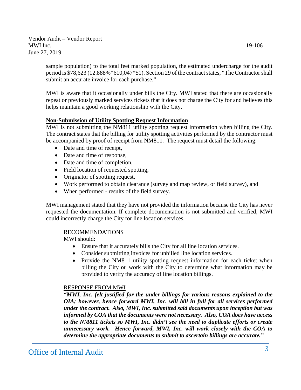sample population) to the total feet marked population, the estimated undercharge for the audit period is \$78,623 (12.888%\*610,047\*\$1). Section 29 of the contract states, "The Contractor shall submit an accurate invoice for each purchase."

MWI is aware that it occasionally under bills the City. MWI stated that there are occasionally repeat or previously marked services tickets that it does not charge the City for and believes this helps maintain a good working relationship with the City.

#### **Non-Submission of Utility Spotting Request Information**

MWI is not submitting the NM811 utility spotting request information when billing the City. The contract states that the billing for utility spotting activities performed by the contractor must be accompanied by proof of receipt from NM811. The request must detail the following:

- Date and time of receipt,
- Date and time of response,
- Date and time of completion,
- Field location of requested spotting,
- Originator of spotting request,
- Work performed to obtain clearance (survey and map review, or field survey), and
- When performed results of the field survey.

MWI management stated that they have not provided the information because the City has never requested the documentation. If complete documentation is not submitted and verified, MWI could incorrectly charge the City for line location services.

#### RECOMMENDATIONS

MWI should:

- Ensure that it accurately bills the City for all line location services.
- Consider submitting invoices for unbilled line location services.
- Provide the NM811 utility spotting request information for each ticket when billing the City **or** work with the City to determine what information may be provided to verify the accuracy of line location billings.

#### RESPONSE FROM MWI

*"MWI, Inc. felt justified for the under billings for various reasons explained to the OIA; however, hence forward MWI, Inc. will bill in full for all services performed under the contract. Also, MWI, Inc. submitted said documents upon inception but was informed by COA that the documents were not necessary. Also, COA does have access to the NM811 tickets so MWI, Inc. didn't see the need to duplicate efforts or create unnecessary work. Hence forward, MWI, Inc. will work closely with the COA to determine the appropriate documents to submit to ascertain billings are accurate."*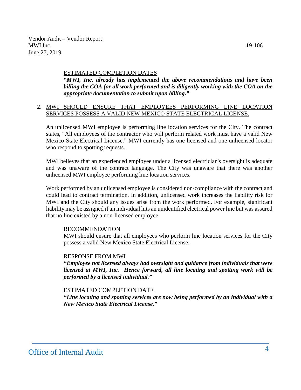#### ESTIMATED COMPLETION DATES

*"MWI, Inc. already has implemented the above recommendations and have been billing the COA for all work performed and is diligently working with the COA on the appropriate documentation to submit upon billing."*

#### 2. MWI SHOULD ENSURE THAT EMPLOYEES PERFORMING LINE LOCATION SERVICES POSSESS A VALID NEW MEXICO STATE ELECTRICAL LICENSE.

An unlicensed MWI employee is performing line location services for the City. The contract states, "All employees of the contractor who will perform related work must have a valid New Mexico State Electrical License." MWI currently has one licensed and one unlicensed locator who respond to spotting requests.

MWI believes that an experienced employee under a licensed electrician's oversight is adequate and was unaware of the contract language. The City was unaware that there was another unlicensed MWI employee performing line location services.

Work performed by an unlicensed employee is considered non-compliance with the contract and could lead to contract termination. In addition, unlicensed work increases the liability risk for MWI and the City should any issues arise from the work performed. For example, significant liability may be assigned if an individual hits an unidentified electrical power line but was assured that no line existed by a non-licensed employee.

#### RECOMMENDATION

MWI should ensure that all employees who perform line location services for the City possess a valid New Mexico State Electrical License.

#### RESPONSE FROM MWI

*"Employee not licensed always had oversight and guidance from individuals that were licensed at MWI, Inc. Hence forward, all line locating and spotting work will be performed by a licensed individual."*

#### ESTIMATED COMPLETION DATE

*"Line locating and spotting services are now being performed by an individual with a New Mexico State Electrical License."*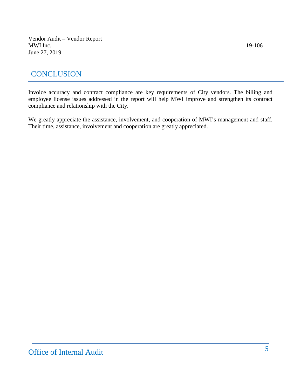## **CONCLUSION**

Invoice accuracy and contract compliance are key requirements of City vendors. The billing and employee license issues addressed in the report will help MWI improve and strengthen its contract compliance and relationship with the City.

We greatly appreciate the assistance, involvement, and cooperation of MWI's management and staff. Their time, assistance, involvement and cooperation are greatly appreciated.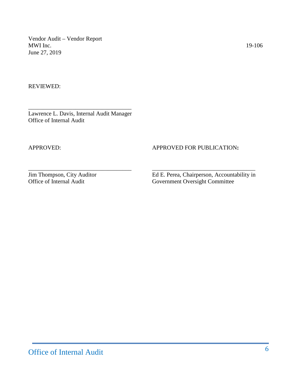REVIEWED:

\_\_\_\_\_\_\_\_\_\_\_\_\_\_\_\_\_\_\_\_\_\_\_\_\_\_\_\_\_\_\_\_\_\_\_ Lawrence L. Davis, Internal Audit Manager Office of Internal Audit

#### APPROVED: APPROVED FOR PUBLICATION:

\_\_\_\_\_\_\_\_\_\_\_\_\_\_\_\_\_\_\_\_\_\_\_\_\_\_\_\_\_\_\_\_\_\_\_ \_\_\_\_\_\_\_\_\_\_\_\_\_\_\_\_\_\_\_\_\_\_\_\_\_\_\_\_\_\_\_\_\_\_\_

Jim Thompson, City Auditor Ed E. Perea, Chairperson, Accountability in Office of Internal Audit Government Oversight Committee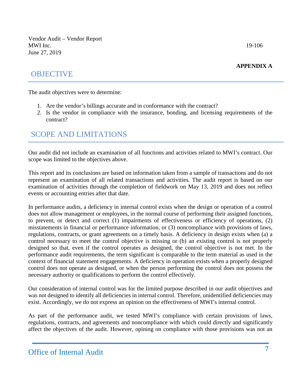#### **APPENDIX A**

### **OBJECTIVE**

The audit objectives were to determine:

- 1. Are the vendor's billings accurate and in conformance with the contract?
- 2. Is the vendor in compliance with the insurance, bonding, and licensing requirements of the contract?

# SCOPE AND LIMITATIONS

Our audit did not include an examination of all functions and activities related to MWI's contract. Our scope was limited to the objectives above.

This report and its conclusions are based on information taken from a sample of transactions and do not represent an examination of all related transactions and activities. The audit report is based on our examination of activities through the completion of fieldwork on May 13, 2019 and does not reflect events or accounting entries after that date.

In performance audits, a deficiency in internal control exists when the design or operation of a control does not allow management or employees, in the normal course of performing their assigned functions, to prevent, or detect and correct (1) impairments of effectiveness or efficiency of operations, (2) misstatements in financial or performance information, or (3) noncompliance with provisions of laws, regulations, contracts, or grant agreements on a timely basis. A deficiency in design exists when (a) a control necessary to meet the control objective is missing or (b) an existing control is not properly designed so that, even if the control operates as designed, the control objective is not met. In the performance audit requirements, the term significant is comparable to the term material as used in the context of financial statement engagements. A deficiency in operation exists when a properly designed control does not operate as designed, or when the person performing the control does not possess the necessary authority or qualifications to perform the control effectively.

Our consideration of internal control was for the limited purpose described in our audit objectives and was not designed to identify all deficiencies in internal control. Therefore, unidentified deficiencies may exist. Accordingly, we do not express an opinion on the effectiveness of MWI's internal control.

As part of the performance audit, we tested MWI's compliance with certain provisions of laws, regulations, contracts, and agreements and noncompliance with which could directly and significantly affect the objectives of the audit. However, opining on compliance with those provisions was not an